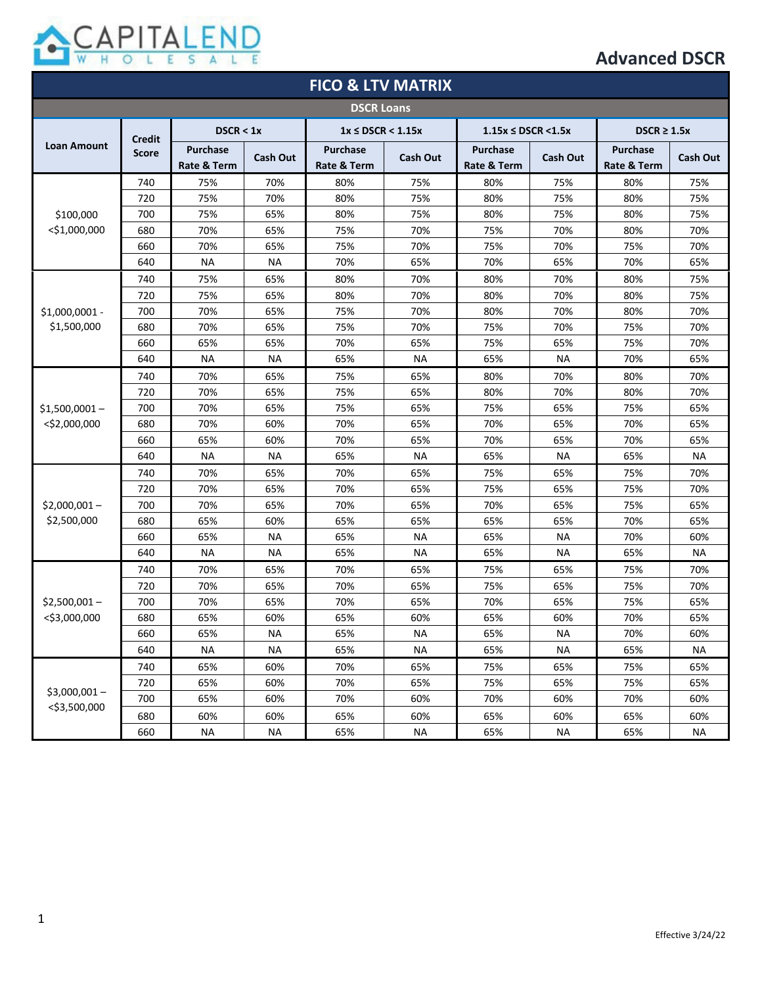

| <b>FICO &amp; LTV MATRIX</b>     |                               |                                |           |                                |                 |                                 |                 |                                |                 |
|----------------------------------|-------------------------------|--------------------------------|-----------|--------------------------------|-----------------|---------------------------------|-----------------|--------------------------------|-----------------|
| <b>DSCR Loans</b>                |                               |                                |           |                                |                 |                                 |                 |                                |                 |
|                                  | <b>Credit</b><br><b>Score</b> | DSCR < 1x                      |           | $1x \leq$ DSCR < 1.15x         |                 | $1.15x \leq \text{DSCR} < 1.5x$ |                 | $DSCR \geq 1.5x$               |                 |
| <b>Loan Amount</b>               |                               | <b>Purchase</b><br>Rate & Term | Cash Out  | <b>Purchase</b><br>Rate & Term | <b>Cash Out</b> | <b>Purchase</b><br>Rate & Term  | <b>Cash Out</b> | <b>Purchase</b><br>Rate & Term | <b>Cash Out</b> |
|                                  | 740                           | 75%                            | 70%       | 80%                            | 75%             | 80%                             | 75%             | 80%                            | 75%             |
|                                  | 720                           | 75%                            | 70%       | 80%                            | 75%             | 80%                             | 75%             | 80%                            | 75%             |
| \$100,000                        | 700                           | 75%                            | 65%       | 80%                            | 75%             | 80%                             | 75%             | 80%                            | 75%             |
| $<$ \$1,000,000                  | 680                           | 70%                            | 65%       | 75%                            | 70%             | 75%                             | 70%             | 80%                            | 70%             |
|                                  | 660                           | 70%                            | 65%       | 75%                            | 70%             | 75%                             | 70%             | 75%                            | 70%             |
|                                  | 640                           | <b>NA</b>                      | <b>NA</b> | 70%                            | 65%             | 70%                             | 65%             | 70%                            | 65%             |
|                                  | 740                           | 75%                            | 65%       | 80%                            | 70%             | 80%                             | 70%             | 80%                            | 75%             |
|                                  | 720                           | 75%                            | 65%       | 80%                            | 70%             | 80%                             | 70%             | 80%                            | 75%             |
| \$1,000,0001 -                   | 700                           | 70%                            | 65%       | 75%                            | 70%             | 80%                             | 70%             | 80%                            | 70%             |
| \$1,500,000                      | 680                           | 70%                            | 65%       | 75%                            | 70%             | 75%                             | 70%             | 75%                            | 70%             |
|                                  | 660                           | 65%                            | 65%       | 70%                            | 65%             | 75%                             | 65%             | 75%                            | 70%             |
|                                  | 640                           | <b>NA</b>                      | <b>NA</b> | 65%                            | <b>NA</b>       | 65%                             | <b>NA</b>       | 70%                            | 65%             |
|                                  | 740                           | 70%                            | 65%       | 75%                            | 65%             | 80%                             | 70%             | 80%                            | 70%             |
|                                  | 720                           | 70%                            | 65%       | 75%                            | 65%             | 80%                             | 70%             | 80%                            | 70%             |
| $$1,500,0001-$                   | 700                           | 70%                            | 65%       | 75%                            | 65%             | 75%                             | 65%             | 75%                            | 65%             |
| $<$ \$2,000,000                  | 680                           | 70%                            | 60%       | 70%                            | 65%             | 70%                             | 65%             | 70%                            | 65%             |
|                                  | 660                           | 65%                            | 60%       | 70%                            | 65%             | 70%                             | 65%             | 70%                            | 65%             |
|                                  | 640                           | <b>NA</b>                      | <b>NA</b> | 65%                            | <b>NA</b>       | 65%                             | <b>NA</b>       | 65%                            | <b>NA</b>       |
| $$2,000,001-$<br>\$2,500,000     | 740                           | 70%                            | 65%       | 70%                            | 65%             | 75%                             | 65%             | 75%                            | 70%             |
|                                  | 720                           | 70%                            | 65%       | 70%                            | 65%             | 75%                             | 65%             | 75%                            | 70%             |
|                                  | 700                           | 70%                            | 65%       | 70%                            | 65%             | 70%                             | 65%             | 75%                            | 65%             |
|                                  | 680                           | 65%                            | 60%       | 65%                            | 65%             | 65%                             | 65%             | 70%                            | 65%             |
|                                  | 660                           | 65%                            | <b>NA</b> | 65%                            | <b>NA</b>       | 65%                             | NA              | 70%                            | 60%             |
|                                  | 640                           | NA                             | <b>NA</b> | 65%                            | NA              | 65%                             | NA              | 65%                            | <b>NA</b>       |
|                                  | 740                           | 70%                            | 65%       | 70%                            | 65%             | 75%                             | 65%             | 75%                            | 70%             |
| $$2,500,001-$<br>$<$ \$3,000,000 | 720                           | 70%                            | 65%       | 70%                            | 65%             | 75%                             | 65%             | 75%                            | 70%             |
|                                  | 700                           | 70%                            | 65%       | 70%                            | 65%             | 70%                             | 65%             | 75%                            | 65%             |
|                                  | 680                           | 65%                            | 60%       | 65%                            | 60%             | 65%                             | 60%             | 70%                            | 65%             |
|                                  | 660                           | 65%                            | ΝA        | 65%                            | ΝA              | 65%                             | NA              | 70%                            | 60%             |
|                                  | 640                           | <b>NA</b>                      | ΝA        | 65%                            | <b>NA</b>       | 65%                             | <b>NA</b>       | 65%                            | NА              |
|                                  | 740                           | 65%                            | 60%       | 70%                            | 65%             | 75%                             | 65%             | 75%                            | 65%             |
|                                  | 720                           | 65%                            | 60%       | 70%                            | 65%             | 75%                             | 65%             | 75%                            | 65%             |
| $$3,000,001-$                    | 700                           | 65%                            | 60%       | 70%                            | 60%             | 70%                             | 60%             | 70%                            | 60%             |
| $<$ \$3,500,000                  | 680                           | 60%                            | 60%       | 65%                            | 60%             | 65%                             | 60%             | 65%                            | 60%             |
|                                  | 660                           | <b>NA</b>                      | <b>NA</b> | 65%                            | <b>NA</b>       | 65%                             | <b>NA</b>       | 65%                            | <b>NA</b>       |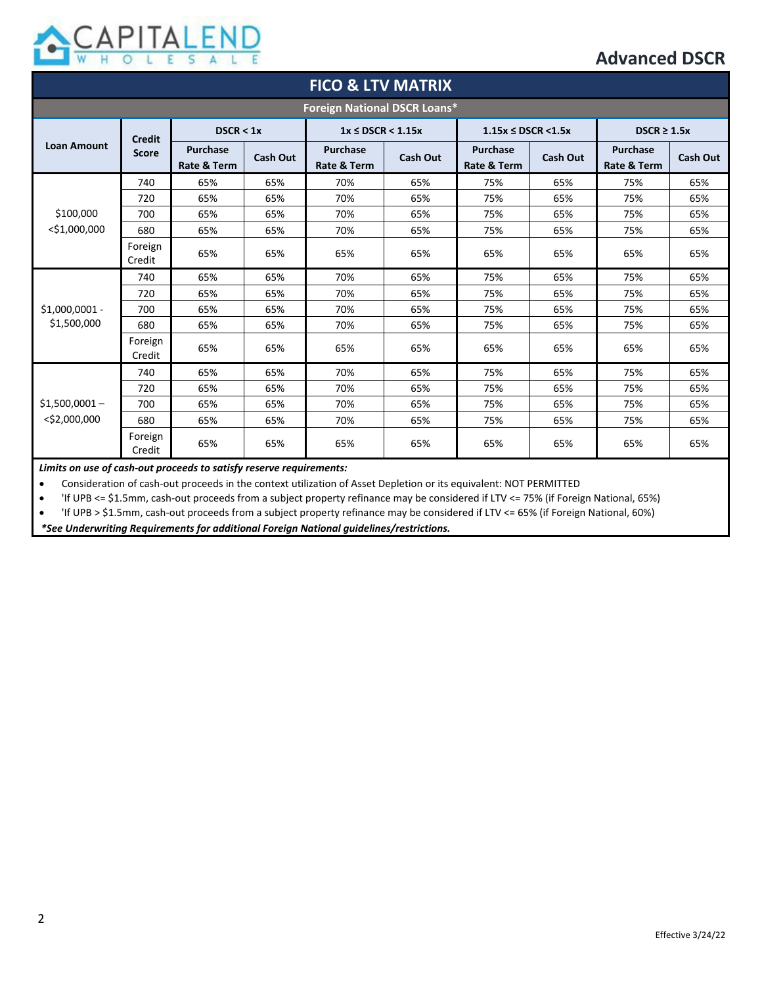

| <b>FICO &amp; LTV MATRIX</b>        |                               |                                |                 |                                |                 |                                |                 |                                |                 |
|-------------------------------------|-------------------------------|--------------------------------|-----------------|--------------------------------|-----------------|--------------------------------|-----------------|--------------------------------|-----------------|
| <b>Foreign National DSCR Loans*</b> |                               |                                |                 |                                |                 |                                |                 |                                |                 |
| <b>Loan Amount</b>                  | <b>Credit</b><br><b>Score</b> | DSCR < 1x                      |                 | $1x \leq$ DSCR < 1.15x         |                 | $1.15x \leq$ DSCR <1.5x        |                 | $DSCR \geq 1.5x$               |                 |
|                                     |                               | <b>Purchase</b><br>Rate & Term | <b>Cash Out</b> | <b>Purchase</b><br>Rate & Term | <b>Cash Out</b> | <b>Purchase</b><br>Rate & Term | <b>Cash Out</b> | <b>Purchase</b><br>Rate & Term | <b>Cash Out</b> |
|                                     | 740                           | 65%                            | 65%             | 70%                            | 65%             | 75%                            | 65%             | 75%                            | 65%             |
|                                     | 720                           | 65%                            | 65%             | 70%                            | 65%             | 75%                            | 65%             | 75%                            | 65%             |
| \$100,000                           | 700                           | 65%                            | 65%             | 70%                            | 65%             | 75%                            | 65%             | 75%                            | 65%             |
| $<$ \$1,000,000                     | 680                           | 65%                            | 65%             | 70%                            | 65%             | 75%                            | 65%             | 75%                            | 65%             |
|                                     | Foreign<br>Credit             | 65%                            | 65%             | 65%                            | 65%             | 65%                            | 65%             | 65%                            | 65%             |
| $$1,000,0001 -$<br>\$1,500,000      | 740                           | 65%                            | 65%             | 70%                            | 65%             | 75%                            | 65%             | 75%                            | 65%             |
|                                     | 720                           | 65%                            | 65%             | 70%                            | 65%             | 75%                            | 65%             | 75%                            | 65%             |
|                                     | 700                           | 65%                            | 65%             | 70%                            | 65%             | 75%                            | 65%             | 75%                            | 65%             |
|                                     | 680                           | 65%                            | 65%             | 70%                            | 65%             | 75%                            | 65%             | 75%                            | 65%             |
|                                     | Foreign<br>Credit             | 65%                            | 65%             | 65%                            | 65%             | 65%                            | 65%             | 65%                            | 65%             |
| $$1,500,0001-$<br>$<$ \$2,000,000   | 740                           | 65%                            | 65%             | 70%                            | 65%             | 75%                            | 65%             | 75%                            | 65%             |
|                                     | 720                           | 65%                            | 65%             | 70%                            | 65%             | 75%                            | 65%             | 75%                            | 65%             |
|                                     | 700                           | 65%                            | 65%             | 70%                            | 65%             | 75%                            | 65%             | 75%                            | 65%             |
|                                     | 680                           | 65%                            | 65%             | 70%                            | 65%             | 75%                            | 65%             | 75%                            | 65%             |
|                                     | Foreign<br>Credit             | 65%                            | 65%             | 65%                            | 65%             | 65%                            | 65%             | 65%                            | 65%             |

*Limits on use of cash-out proceeds to satisfy reserve requirements:*

• Consideration of cash-out proceeds in the context utilization of Asset Depletion or its equivalent: NOT PERMITTED

• 'If UPB <= \$1.5mm, cash-out proceeds from a subject property refinance may be considered if LTV <= 75% (if Foreign National, 65%)

• 'If UPB > \$1.5mm, cash-out proceeds from a subject property refinance may be considered if LTV <= 65% (if Foreign National, 60%)

*\*See Underwriting Requirements for additional Foreign National guidelines/restrictions.*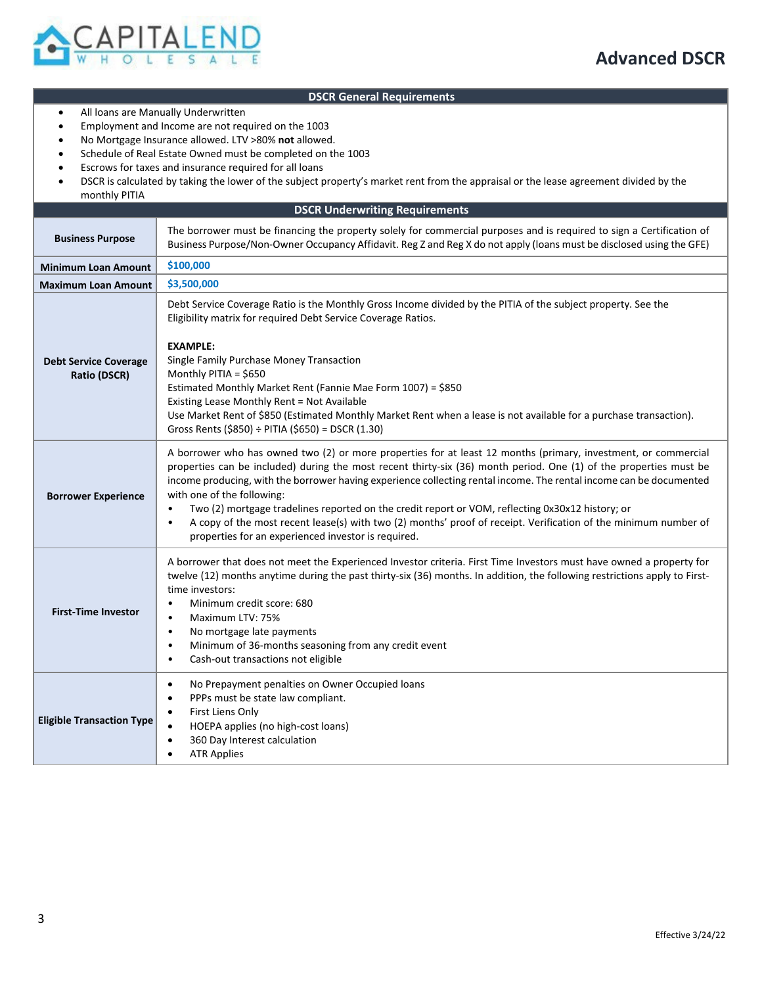

#### **DSCR General Requirements**

- All loans are Manually Underwritten
- Employment and Income are not required on the 1003
- No Mortgage Insurance allowed. LTV >80% **not** allowed.
- Schedule of Real Estate Owned must be completed on the 1003
- Escrows for taxes and insurance required for all loans
- DSCR is calculated by taking the lower of the subject property's market rent from the appraisal or the lease agreement divided by the monthly PITIA

| <b>DSCR Underwriting Requirements</b>        |                                                                                                                                                                                                                                                                                                                                                                                                                                                                                                                                                                                                                                                                                                   |  |  |  |  |
|----------------------------------------------|---------------------------------------------------------------------------------------------------------------------------------------------------------------------------------------------------------------------------------------------------------------------------------------------------------------------------------------------------------------------------------------------------------------------------------------------------------------------------------------------------------------------------------------------------------------------------------------------------------------------------------------------------------------------------------------------------|--|--|--|--|
| <b>Business Purpose</b>                      | The borrower must be financing the property solely for commercial purposes and is required to sign a Certification of<br>Business Purpose/Non-Owner Occupancy Affidavit. Reg Z and Reg X do not apply (loans must be disclosed using the GFE)                                                                                                                                                                                                                                                                                                                                                                                                                                                     |  |  |  |  |
| <b>Minimum Loan Amount</b>                   | \$100,000                                                                                                                                                                                                                                                                                                                                                                                                                                                                                                                                                                                                                                                                                         |  |  |  |  |
| <b>Maximum Loan Amount</b>                   | \$3,500,000                                                                                                                                                                                                                                                                                                                                                                                                                                                                                                                                                                                                                                                                                       |  |  |  |  |
| <b>Debt Service Coverage</b><br>Ratio (DSCR) | Debt Service Coverage Ratio is the Monthly Gross Income divided by the PITIA of the subject property. See the<br>Eligibility matrix for required Debt Service Coverage Ratios.<br><b>EXAMPLE:</b><br>Single Family Purchase Money Transaction<br>Monthly PITIA = \$650<br>Estimated Monthly Market Rent (Fannie Mae Form 1007) = \$850<br>Existing Lease Monthly Rent = Not Available<br>Use Market Rent of \$850 (Estimated Monthly Market Rent when a lease is not available for a purchase transaction).<br>Gross Rents (\$850) ÷ PITIA (\$650) = DSCR (1.30)                                                                                                                                  |  |  |  |  |
| <b>Borrower Experience</b>                   | A borrower who has owned two (2) or more properties for at least 12 months (primary, investment, or commercial<br>properties can be included) during the most recent thirty-six (36) month period. One (1) of the properties must be<br>income producing, with the borrower having experience collecting rental income. The rental income can be documented<br>with one of the following:<br>Two (2) mortgage tradelines reported on the credit report or VOM, reflecting 0x30x12 history; or<br>$\bullet$<br>A copy of the most recent lease(s) with two (2) months' proof of receipt. Verification of the minimum number of<br>$\bullet$<br>properties for an experienced investor is required. |  |  |  |  |
| <b>First-Time Investor</b>                   | A borrower that does not meet the Experienced Investor criteria. First Time Investors must have owned a property for<br>twelve (12) months anytime during the past thirty-six (36) months. In addition, the following restrictions apply to First-<br>time investors:<br>Minimum credit score: 680<br>$\bullet$<br>Maximum LTV: 75%<br>$\bullet$<br>No mortgage late payments<br>$\bullet$<br>Minimum of 36-months seasoning from any credit event<br>$\bullet$<br>Cash-out transactions not eligible<br>$\bullet$                                                                                                                                                                                |  |  |  |  |
| <b>Eligible Transaction Type</b>             | No Prepayment penalties on Owner Occupied loans<br>$\bullet$<br>PPPs must be state law compliant.<br>$\bullet$<br>First Liens Only<br>$\bullet$<br>HOEPA applies (no high-cost loans)<br>$\bullet$<br>360 Day Interest calculation<br>$\bullet$<br><b>ATR Applies</b><br>$\bullet$                                                                                                                                                                                                                                                                                                                                                                                                                |  |  |  |  |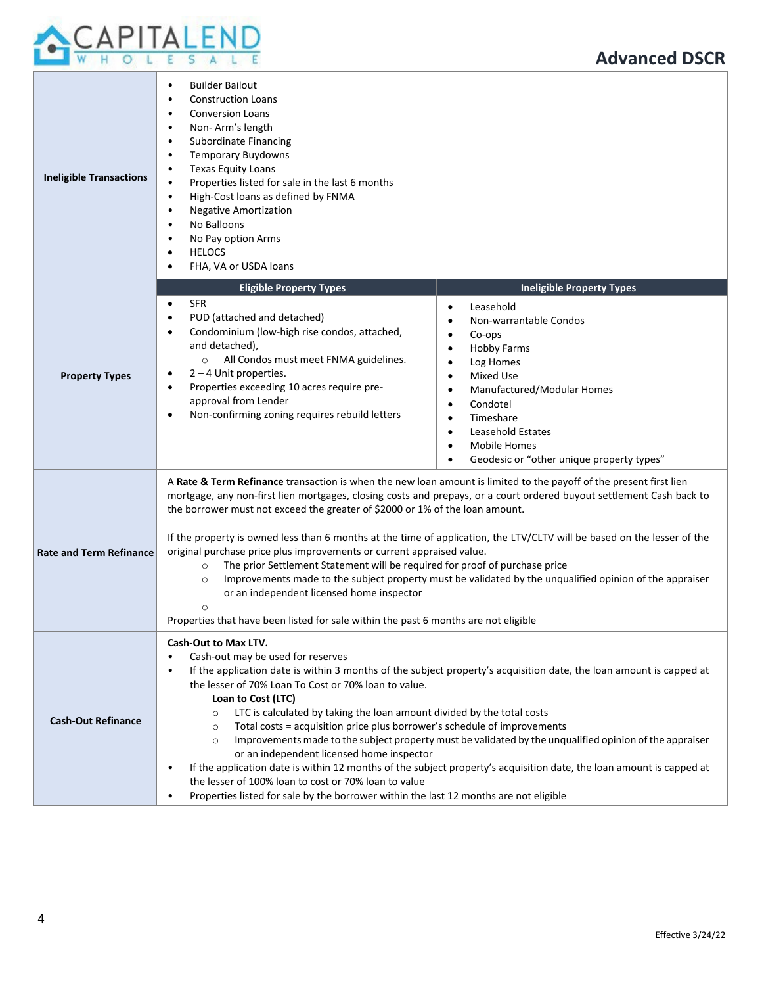

| <b>Ineligible Transactions</b> | <b>Builder Bailout</b><br>$\bullet$<br><b>Construction Loans</b><br>$\bullet$<br><b>Conversion Loans</b><br>$\bullet$<br>Non-Arm's length<br>$\bullet$<br>Subordinate Financing<br>$\bullet$<br><b>Temporary Buydowns</b><br>$\bullet$<br><b>Texas Equity Loans</b><br>$\bullet$<br>Properties listed for sale in the last 6 months<br>$\bullet$<br>High-Cost loans as defined by FNMA<br>$\bullet$<br><b>Negative Amortization</b><br>$\bullet$<br>No Balloons<br>$\bullet$<br>No Pay option Arms<br>$\bullet$<br><b>HELOCS</b><br>$\bullet$<br>FHA, VA or USDA loans<br>$\bullet$                                                                                                                                                                                                                                                                                                                                                        |  |  |  |
|--------------------------------|--------------------------------------------------------------------------------------------------------------------------------------------------------------------------------------------------------------------------------------------------------------------------------------------------------------------------------------------------------------------------------------------------------------------------------------------------------------------------------------------------------------------------------------------------------------------------------------------------------------------------------------------------------------------------------------------------------------------------------------------------------------------------------------------------------------------------------------------------------------------------------------------------------------------------------------------|--|--|--|
| <b>Property Types</b>          | <b>Ineligible Property Types</b><br><b>Eligible Property Types</b><br><b>SFR</b><br>$\bullet$<br>Leasehold<br>$\bullet$<br>PUD (attached and detached)<br>$\bullet$<br>Non-warrantable Condos<br>$\bullet$<br>Condominium (low-high rise condos, attached,<br>$\bullet$<br>Co-ops<br>$\bullet$<br>and detached),<br><b>Hobby Farms</b><br>$\bullet$<br>All Condos must meet FNMA guidelines.<br>$\circ$<br>Log Homes<br>$\bullet$<br>$2 - 4$ Unit properties.<br>$\bullet$<br>Mixed Use<br>$\bullet$<br>Properties exceeding 10 acres require pre-<br>$\bullet$<br>Manufactured/Modular Homes<br>٠<br>approval from Lender<br>Condotel<br>$\bullet$<br>Non-confirming zoning requires rebuild letters<br>$\bullet$<br>Timeshare<br>$\bullet$<br>Leasehold Estates<br>$\bullet$<br>Mobile Homes<br>$\bullet$<br>Geodesic or "other unique property types"                                                                                   |  |  |  |
| <b>Rate and Term Refinance</b> | A Rate & Term Refinance transaction is when the new loan amount is limited to the payoff of the present first lien<br>mortgage, any non-first lien mortgages, closing costs and prepays, or a court ordered buyout settlement Cash back to<br>the borrower must not exceed the greater of \$2000 or 1% of the loan amount.<br>If the property is owned less than 6 months at the time of application, the LTV/CLTV will be based on the lesser of the<br>original purchase price plus improvements or current appraised value.<br>The prior Settlement Statement will be required for proof of purchase price<br>$\circ$<br>Improvements made to the subject property must be validated by the unqualified opinion of the appraiser<br>$\circ$<br>or an independent licensed home inspector<br>$\circ$<br>Properties that have been listed for sale within the past 6 months are not eligible                                              |  |  |  |
| <b>Cash-Out Refinance</b>      | Cash-Out to Max LTV.<br>Cash-out may be used for reserves<br>$\bullet$<br>If the application date is within 3 months of the subject property's acquisition date, the loan amount is capped at<br>$\bullet$<br>the lesser of 70% Loan To Cost or 70% loan to value.<br>Loan to Cost (LTC)<br>LTC is calculated by taking the loan amount divided by the total costs<br>$\circ$<br>Total costs = acquisition price plus borrower's schedule of improvements<br>$\circ$<br>Improvements made to the subject property must be validated by the unqualified opinion of the appraiser<br>$\circ$<br>or an independent licensed home inspector<br>If the application date is within 12 months of the subject property's acquisition date, the loan amount is capped at<br>$\bullet$<br>the lesser of 100% loan to cost or 70% loan to value<br>Properties listed for sale by the borrower within the last 12 months are not eligible<br>$\bullet$ |  |  |  |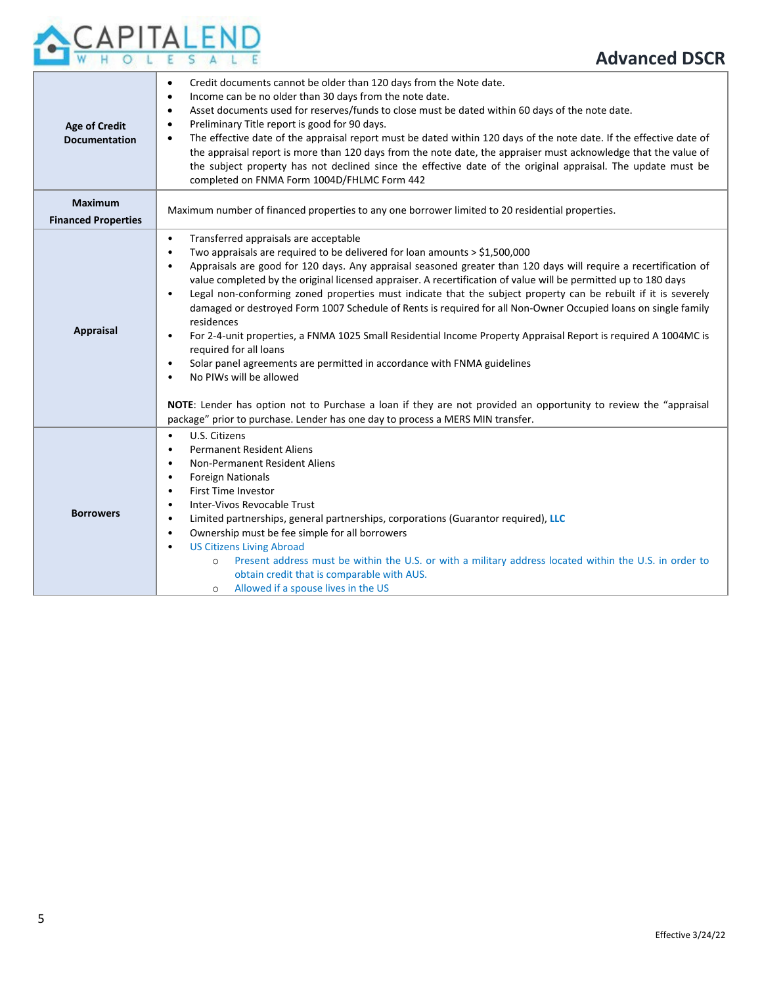# APITALEND  $W$

| <b>Age of Credit</b><br><b>Documentation</b> | Credit documents cannot be older than 120 days from the Note date.<br>$\bullet$<br>Income can be no older than 30 days from the note date.<br>Asset documents used for reserves/funds to close must be dated within 60 days of the note date.<br>$\bullet$<br>Preliminary Title report is good for 90 days.<br>The effective date of the appraisal report must be dated within 120 days of the note date. If the effective date of<br>the appraisal report is more than 120 days from the note date, the appraiser must acknowledge that the value of<br>the subject property has not declined since the effective date of the original appraisal. The update must be<br>completed on FNMA Form 1004D/FHLMC Form 442                                                                                                                                                                                                                                                                                                                                                                                                                  |
|----------------------------------------------|---------------------------------------------------------------------------------------------------------------------------------------------------------------------------------------------------------------------------------------------------------------------------------------------------------------------------------------------------------------------------------------------------------------------------------------------------------------------------------------------------------------------------------------------------------------------------------------------------------------------------------------------------------------------------------------------------------------------------------------------------------------------------------------------------------------------------------------------------------------------------------------------------------------------------------------------------------------------------------------------------------------------------------------------------------------------------------------------------------------------------------------|
| <b>Maximum</b><br><b>Financed Properties</b> | Maximum number of financed properties to any one borrower limited to 20 residential properties.                                                                                                                                                                                                                                                                                                                                                                                                                                                                                                                                                                                                                                                                                                                                                                                                                                                                                                                                                                                                                                       |
| <b>Appraisal</b>                             | Transferred appraisals are acceptable<br>$\bullet$<br>Two appraisals are required to be delivered for loan amounts > \$1,500,000<br>$\bullet$<br>Appraisals are good for 120 days. Any appraisal seasoned greater than 120 days will require a recertification of<br>value completed by the original licensed appraiser. A recertification of value will be permitted up to 180 days<br>Legal non-conforming zoned properties must indicate that the subject property can be rebuilt if it is severely<br>$\bullet$<br>damaged or destroyed Form 1007 Schedule of Rents is required for all Non-Owner Occupied loans on single family<br>residences<br>For 2-4-unit properties, a FNMA 1025 Small Residential Income Property Appraisal Report is required A 1004MC is<br>$\bullet$<br>required for all loans<br>Solar panel agreements are permitted in accordance with FNMA guidelines<br>$\bullet$<br>No PIWs will be allowed<br>NOTE: Lender has option not to Purchase a loan if they are not provided an opportunity to review the "appraisal<br>package" prior to purchase. Lender has one day to process a MERS MIN transfer. |
| <b>Borrowers</b>                             | U.S. Citizens<br>$\bullet$<br><b>Permanent Resident Aliens</b><br>$\bullet$<br>Non-Permanent Resident Aliens<br>$\bullet$<br><b>Foreign Nationals</b><br>$\bullet$<br><b>First Time Investor</b><br>٠<br>Inter-Vivos Revocable Trust<br>$\bullet$<br>Limited partnerships, general partnerships, corporations (Guarantor required), LLC<br>$\bullet$<br>Ownership must be fee simple for all borrowers<br>$\bullet$<br><b>US Citizens Living Abroad</b><br>$\bullet$<br>Present address must be within the U.S. or with a military address located within the U.S. in order to<br>$\circ$<br>obtain credit that is comparable with AUS.<br>Allowed if a spouse lives in the US<br>$\circ$                                                                                                                                                                                                                                                                                                                                                                                                                                             |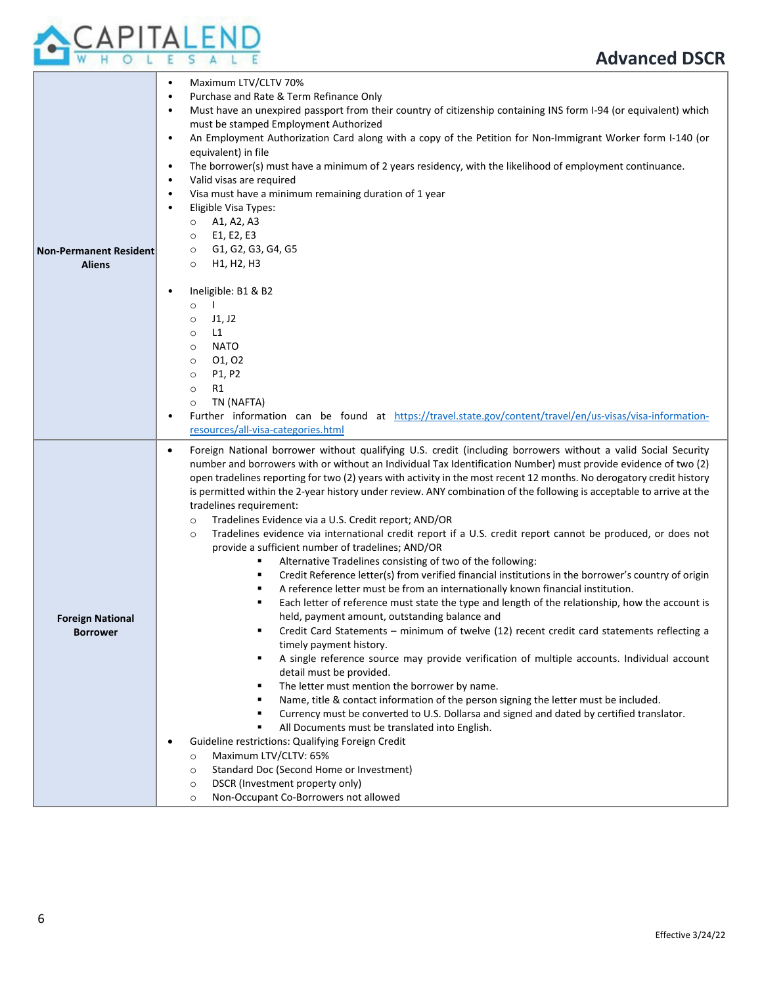

| <b>Non-Permanent Resident</b><br><b>Aliens</b> | Maximum LTV/CLTV 70%<br>$\bullet$<br>Purchase and Rate & Term Refinance Only<br>$\bullet$<br>Must have an unexpired passport from their country of citizenship containing INS form I-94 (or equivalent) which<br>must be stamped Employment Authorized<br>An Employment Authorization Card along with a copy of the Petition for Non-Immigrant Worker form I-140 (or<br>$\bullet$<br>equivalent) in file<br>The borrower(s) must have a minimum of 2 years residency, with the likelihood of employment continuance.<br>$\bullet$<br>Valid visas are required<br>$\bullet$<br>Visa must have a minimum remaining duration of 1 year<br>$\bullet$<br>Eligible Visa Types:<br>A1, A2, A3<br>$\circ$<br>E1, E2, E3<br>$\circ$<br>G1, G2, G3, G4, G5<br>$\circ$<br>H1, H2, H3<br>$\circ$<br>Ineligible: B1 & B2<br>$\bullet$<br>$\mathbf{I}$<br>$\circ$<br>J1, J2<br>$\circ$<br>L1<br>$\circ$<br><b>NATO</b><br>$\circ$<br>01, 02<br>$\circ$<br>P1, P2<br>$\circ$<br>R1<br>$\circ$<br>TN (NAFTA)<br>$\circ$<br>Further information can be found at https://travel.state.gov/content/travel/en/us-visas/visa-information-<br>$\bullet$<br>resources/all-visa-categories.html                                                                                                                                                                                                                                                                                                                                                                                                                                                                                                                                                                                                                                                                                                                                                                                                                                                                       |
|------------------------------------------------|-----------------------------------------------------------------------------------------------------------------------------------------------------------------------------------------------------------------------------------------------------------------------------------------------------------------------------------------------------------------------------------------------------------------------------------------------------------------------------------------------------------------------------------------------------------------------------------------------------------------------------------------------------------------------------------------------------------------------------------------------------------------------------------------------------------------------------------------------------------------------------------------------------------------------------------------------------------------------------------------------------------------------------------------------------------------------------------------------------------------------------------------------------------------------------------------------------------------------------------------------------------------------------------------------------------------------------------------------------------------------------------------------------------------------------------------------------------------------------------------------------------------------------------------------------------------------------------------------------------------------------------------------------------------------------------------------------------------------------------------------------------------------------------------------------------------------------------------------------------------------------------------------------------------------------------------------------------------------------------------------------------------------------------------------|
| <b>Foreign National</b><br><b>Borrower</b>     | Foreign National borrower without qualifying U.S. credit (including borrowers without a valid Social Security<br>$\bullet$<br>number and borrowers with or without an Individual Tax Identification Number) must provide evidence of two (2)<br>open tradelines reporting for two (2) years with activity in the most recent 12 months. No derogatory credit history<br>is permitted within the 2-year history under review. ANY combination of the following is acceptable to arrive at the<br>tradelines requirement:<br>Tradelines Evidence via a U.S. Credit report; AND/OR<br>$\circ$<br>Tradelines evidence via international credit report if a U.S. credit report cannot be produced, or does not<br>$\circ$<br>provide a sufficient number of tradelines; AND/OR<br>Alternative Tradelines consisting of two of the following:<br>٠<br>Credit Reference letter(s) from verified financial institutions in the borrower's country of origin<br>٠<br>A reference letter must be from an internationally known financial institution.<br>٠<br>Each letter of reference must state the type and length of the relationship, how the account is<br>٠<br>held, payment amount, outstanding balance and<br>Credit Card Statements - minimum of twelve (12) recent credit card statements reflecting a<br>timely payment history.<br>A single reference source may provide verification of multiple accounts. Individual account<br>٠<br>detail must be provided.<br>The letter must mention the borrower by name.<br>٠<br>Name, title & contact information of the person signing the letter must be included.<br>٠<br>Currency must be converted to U.S. Dollarsa and signed and dated by certified translator.<br>٠<br>All Documents must be translated into English.<br>٠<br>Guideline restrictions: Qualifying Foreign Credit<br>$\bullet$<br>Maximum LTV/CLTV: 65%<br>$\circ$<br>Standard Doc (Second Home or Investment)<br>$\circ$<br>DSCR (Investment property only)<br>$\circ$<br>Non-Occupant Co-Borrowers not allowed<br>$\circ$ |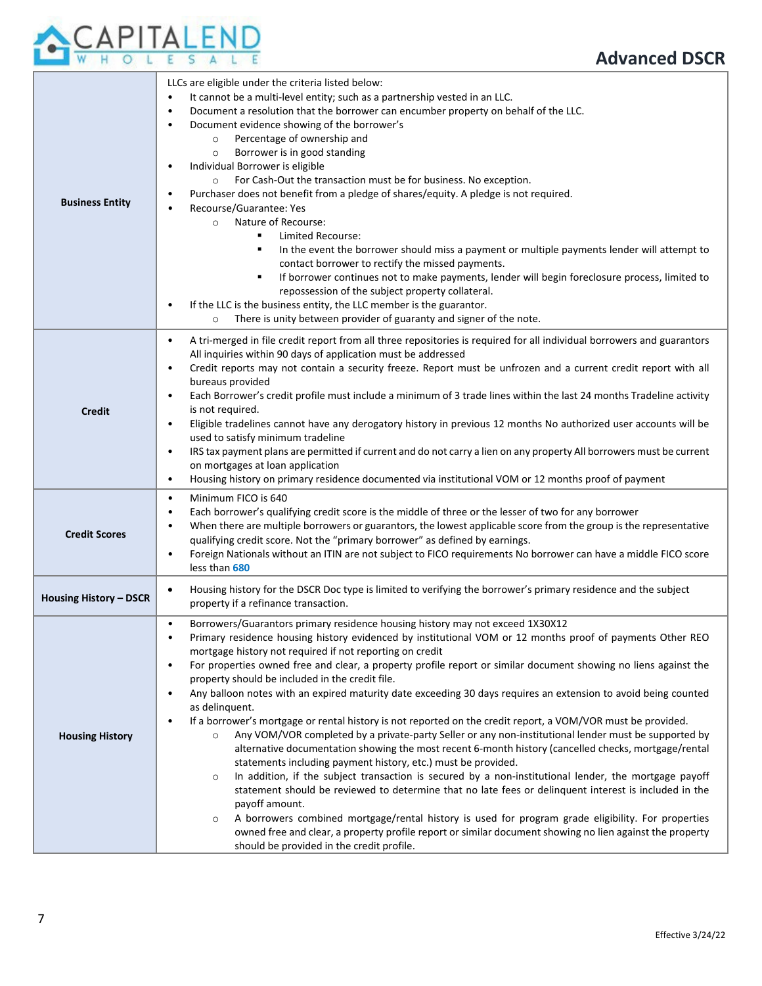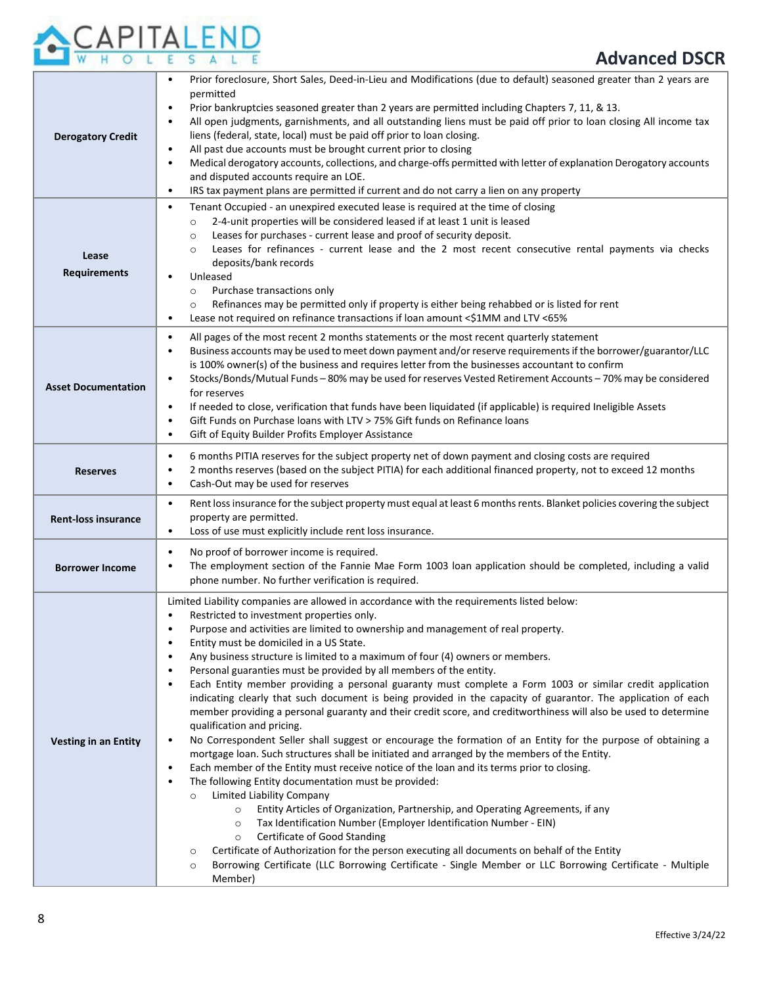

| <b>Derogatory Credit</b>     | Prior foreclosure, Short Sales, Deed-in-Lieu and Modifications (due to default) seasoned greater than 2 years are<br>permitted<br>Prior bankruptcies seasoned greater than 2 years are permitted including Chapters 7, 11, & 13.<br>All open judgments, garnishments, and all outstanding liens must be paid off prior to loan closing All income tax<br>$\bullet$<br>liens (federal, state, local) must be paid off prior to loan closing.<br>All past due accounts must be brought current prior to closing<br>$\bullet$<br>Medical derogatory accounts, collections, and charge-offs permitted with letter of explanation Derogatory accounts<br>$\bullet$<br>and disputed accounts require an LOE.<br>IRS tax payment plans are permitted if current and do not carry a lien on any property<br>$\bullet$                                                                                                                                                                                                                                                                                                                                                                                                                                                                                                                                                                                                                                                                                                                                                                                                                                                                                                                |
|------------------------------|------------------------------------------------------------------------------------------------------------------------------------------------------------------------------------------------------------------------------------------------------------------------------------------------------------------------------------------------------------------------------------------------------------------------------------------------------------------------------------------------------------------------------------------------------------------------------------------------------------------------------------------------------------------------------------------------------------------------------------------------------------------------------------------------------------------------------------------------------------------------------------------------------------------------------------------------------------------------------------------------------------------------------------------------------------------------------------------------------------------------------------------------------------------------------------------------------------------------------------------------------------------------------------------------------------------------------------------------------------------------------------------------------------------------------------------------------------------------------------------------------------------------------------------------------------------------------------------------------------------------------------------------------------------------------------------------------------------------------|
| Lease<br><b>Requirements</b> | Tenant Occupied - an unexpired executed lease is required at the time of closing<br>$\bullet$<br>2-4-unit properties will be considered leased if at least 1 unit is leased<br>$\circ$<br>Leases for purchases - current lease and proof of security deposit.<br>$\circ$<br>Leases for refinances - current lease and the 2 most recent consecutive rental payments via checks<br>$\Omega$<br>deposits/bank records<br>Unleased<br>Purchase transactions only<br>$\circ$<br>Refinances may be permitted only if property is either being rehabbed or is listed for rent<br>$\circ$<br>Lease not required on refinance transactions if loan amount <\$1MM and LTV <65%<br>$\bullet$                                                                                                                                                                                                                                                                                                                                                                                                                                                                                                                                                                                                                                                                                                                                                                                                                                                                                                                                                                                                                                           |
| <b>Asset Documentation</b>   | All pages of the most recent 2 months statements or the most recent quarterly statement<br>$\bullet$<br>Business accounts may be used to meet down payment and/or reserve requirements if the borrower/guarantor/LLC<br>٠<br>is 100% owner(s) of the business and requires letter from the businesses accountant to confirm<br>Stocks/Bonds/Mutual Funds - 80% may be used for reserves Vested Retirement Accounts - 70% may be considered<br>for reserves<br>If needed to close, verification that funds have been liquidated (if applicable) is required Ineligible Assets<br>$\bullet$<br>Gift Funds on Purchase loans with LTV > 75% Gift funds on Refinance loans<br>$\bullet$<br>Gift of Equity Builder Profits Employer Assistance<br>٠                                                                                                                                                                                                                                                                                                                                                                                                                                                                                                                                                                                                                                                                                                                                                                                                                                                                                                                                                                               |
| <b>Reserves</b>              | 6 months PITIA reserves for the subject property net of down payment and closing costs are required<br>$\bullet$<br>2 months reserves (based on the subject PITIA) for each additional financed property, not to exceed 12 months<br>$\bullet$<br>Cash-Out may be used for reserves<br>٠                                                                                                                                                                                                                                                                                                                                                                                                                                                                                                                                                                                                                                                                                                                                                                                                                                                                                                                                                                                                                                                                                                                                                                                                                                                                                                                                                                                                                                     |
| <b>Rent-loss insurance</b>   | Rent loss insurance for the subject property must equal at least 6 months rents. Blanket policies covering the subject<br>$\bullet$<br>property are permitted.<br>Loss of use must explicitly include rent loss insurance.<br>$\bullet$                                                                                                                                                                                                                                                                                                                                                                                                                                                                                                                                                                                                                                                                                                                                                                                                                                                                                                                                                                                                                                                                                                                                                                                                                                                                                                                                                                                                                                                                                      |
| <b>Borrower Income</b>       | No proof of borrower income is required.<br>$\bullet$<br>The employment section of the Fannie Mae Form 1003 loan application should be completed, including a valid<br>٠<br>phone number. No further verification is required.                                                                                                                                                                                                                                                                                                                                                                                                                                                                                                                                                                                                                                                                                                                                                                                                                                                                                                                                                                                                                                                                                                                                                                                                                                                                                                                                                                                                                                                                                               |
| <b>Vesting in an Entity</b>  | Limited Liability companies are allowed in accordance with the requirements listed below:<br>Restricted to investment properties only.<br>Purpose and activities are limited to ownership and management of real property.<br>Entity must be domiciled in a US State.<br>٠<br>Any business structure is limited to a maximum of four (4) owners or members.<br>Personal guaranties must be provided by all members of the entity.<br>Each Entity member providing a personal guaranty must complete a Form 1003 or similar credit application<br>indicating clearly that such document is being provided in the capacity of guarantor. The application of each<br>member providing a personal guaranty and their credit score, and creditworthiness will also be used to determine<br>qualification and pricing.<br>No Correspondent Seller shall suggest or encourage the formation of an Entity for the purpose of obtaining a<br>$\bullet$<br>mortgage loan. Such structures shall be initiated and arranged by the members of the Entity.<br>Each member of the Entity must receive notice of the loan and its terms prior to closing.<br>$\bullet$<br>The following Entity documentation must be provided:<br>$\bullet$<br>Limited Liability Company<br>Entity Articles of Organization, Partnership, and Operating Agreements, if any<br>$\circ$<br>Tax Identification Number (Employer Identification Number - EIN)<br>$\circ$<br>Certificate of Good Standing<br>$\circ$<br>Certificate of Authorization for the person executing all documents on behalf of the Entity<br>$\circ$<br>Borrowing Certificate (LLC Borrowing Certificate - Single Member or LLC Borrowing Certificate - Multiple<br>$\circ$<br>Member) |